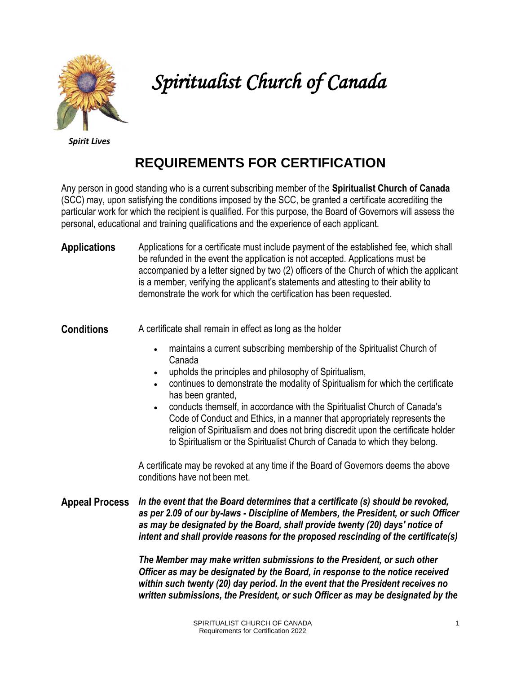

# *Spiritualist Church of Canada*

*Spirit Lives*

# **REQUIREMENTS FOR CERTIFICATION**

Any person in good standing who is a current subscribing member of the **Spiritualist Church of Canada** (SCC) may, upon satisfying the conditions imposed by the SCC, be granted a certificate accrediting the particular work for which the recipient is qualified. For this purpose, the Board of Governors will assess the personal, educational and training qualifications and the experience of each applicant.

**Applications** Applications for a certificate must include payment of the established fee, which shall be refunded in the event the application is not accepted. Applications must be accompanied by a letter signed by two (2) officers of the Church of which the applicant is a member, verifying the applicant's statements and attesting to their ability to demonstrate the work for which the certification has been requested.

**Conditions** A certificate shall remain in effect as long as the holder

- maintains a current subscribing membership of the Spiritualist Church of Canada
- upholds the principles and philosophy of Spiritualism,
- continues to demonstrate the modality of Spiritualism for which the certificate has been granted,
- conducts themself, in accordance with the Spiritualist Church of Canada's Code of Conduct and Ethics, in a manner that appropriately represents the religion of Spiritualism and does not bring discredit upon the certificate holder to Spiritualism or the Spiritualist Church of Canada to which they belong.

A certificate may be revoked at any time if the Board of Governors deems the above conditions have not been met.

**Appeal Process** *In the event that the Board determines that a certificate (s) should be revoked, as per 2.09 of our by-laws - Discipline of Members, the President, or such Officer as may be designated by the Board, shall provide twenty (20) days' notice of intent and shall provide reasons for the proposed rescinding of the certificate(s)* 

> *The Member may make written submissions to the President, or such other Officer as may be designated by the Board, in response to the notice received within such twenty (20) day period. In the event that the President receives no written submissions, the President, or such Officer as may be designated by the*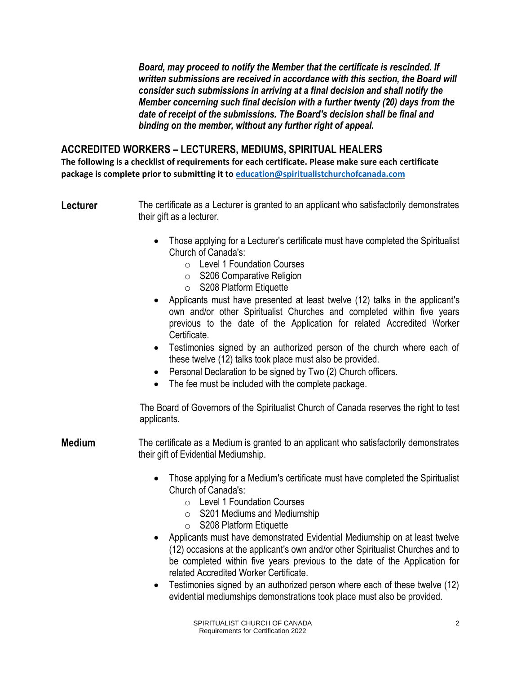*Board, may proceed to notify the Member that the certificate is rescinded. If*  written submissions are received in accordance with this section, the Board will *consider such submissions in arriving at a final decision and shall notify the Member concerning such final decision with a further twenty (20) days from the date of receipt of the submissions. The Board's decision shall be final and binding on the member, without any further right of appeal.*

## **ACCREDITED WORKERS – LECTURERS, MEDIUMS, SPIRITUAL HEALERS**

**The following is a checklist of requirements for each certificate. Please make sure each certificate package is complete prior to submitting it to [education@spiritualistchurchofcanada.com](about:blank)**

**Lecturer** The certificate as a Lecturer is granted to an applicant who satisfactorily demonstrates their gift as a lecturer.

- Those applying for a Lecturer's certificate must have completed the Spiritualist Church of Canada's:
	- o Level 1 Foundation Courses
	- o S206 Comparative Religion
	- o S208 Platform Etiquette
- Applicants must have presented at least twelve (12) talks in the applicant's own and/or other Spiritualist Churches and completed within five years previous to the date of the Application for related Accredited Worker Certificate.
- Testimonies signed by an authorized person of the church where each of these twelve (12) talks took place must also be provided.
- Personal Declaration to be signed by Two (2) Church officers.
- The fee must be included with the complete package.

The Board of Governors of the Spiritualist Church of Canada reserves the right to test applicants.

**Medium** The certificate as a Medium is granted to an applicant who satisfactorily demonstrates their gift of Evidential Mediumship.

- Those applying for a Medium's certificate must have completed the Spiritualist Church of Canada's:
	- o Level 1 Foundation Courses
	- o S201 Mediums and Mediumship
	- o S208 Platform Etiquette
- Applicants must have demonstrated Evidential Mediumship on at least twelve (12) occasions at the applicant's own and/or other Spiritualist Churches and to be completed within five years previous to the date of the Application for related Accredited Worker Certificate.
- Testimonies signed by an authorized person where each of these twelve (12) evidential mediumships demonstrations took place must also be provided.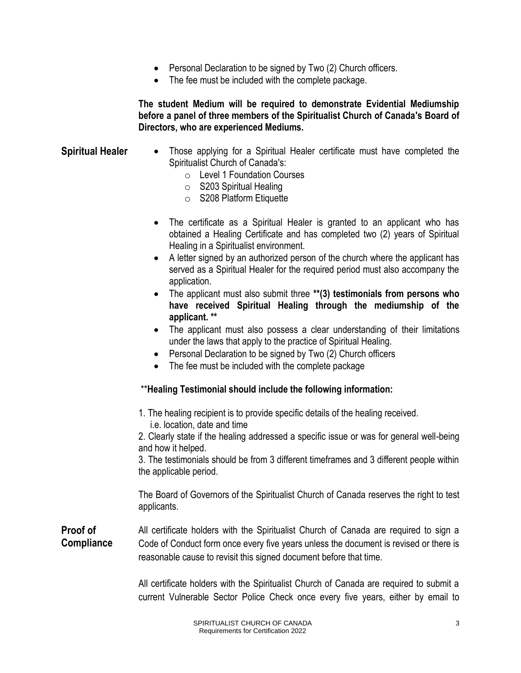- Personal Declaration to be signed by Two (2) Church officers.
- The fee must be included with the complete package.

**The student Medium will be required to demonstrate Evidential Mediumship before a panel of three members of the Spiritualist Church of Canada's Board of Directors, who are experienced Mediums.**

- **Spiritual Healer** Those applying for a Spiritual Healer certificate must have completed the Spiritualist Church of Canada's:
	- o Level 1 Foundation Courses
	- o S203 Spiritual Healing
	- o S208 Platform Etiquette
	- The certificate as a Spiritual Healer is granted to an applicant who has obtained a Healing Certificate and has completed two (2) years of Spiritual Healing in a Spiritualist environment.
	- A letter signed by an authorized person of the church where the applicant has served as a Spiritual Healer for the required period must also accompany the application.
	- The applicant must also submit three **\*\*(3) testimonials from persons who have received Spiritual Healing through the mediumship of the applicant. \*\***
	- The applicant must also possess a clear understanding of their limitations under the laws that apply to the practice of Spiritual Healing.
	- Personal Declaration to be signed by Two (2) Church officers
	- The fee must be included with the complete package

#### \*\***Healing Testimonial should include the following information:**

1. The healing recipient is to provide specific details of the healing received. i.e. location, date and time

2. Clearly state if the healing addressed a specific issue or was for general well-being and how it helped.

3. The testimonials should be from 3 different timeframes and 3 different people within the applicable period.

The Board of Governors of the Spiritualist Church of Canada reserves the right to test applicants.

**Proof of Compliance** All certificate holders with the Spiritualist Church of Canada are required to sign a Code of Conduct form once every five years unless the document is revised or there is reasonable cause to revisit this signed document before that time.

> All certificate holders with the Spiritualist Church of Canada are required to submit a current Vulnerable Sector Police Check once every five years, either by email to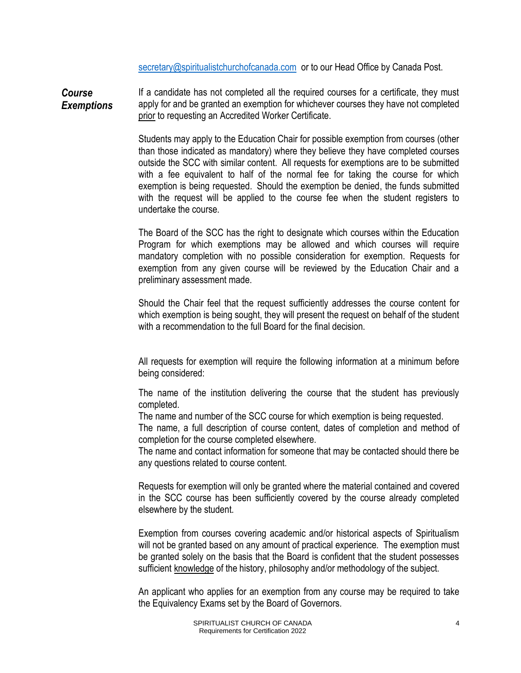[secretary@spiritualistchurchofcanada.com](mailto:secretary@spiritualistchurchofcanada.com) or to our Head Office by Canada Post.

*Course Exemptions*  If a candidate has not completed all the required courses for a certificate, they must apply for and be granted an exemption for whichever courses they have not completed prior to requesting an Accredited Worker Certificate.

> Students may apply to the Education Chair for possible exemption from courses (other than those indicated as mandatory) where they believe they have completed courses outside the SCC with similar content. All requests for exemptions are to be submitted with a fee equivalent to half of the normal fee for taking the course for which exemption is being requested. Should the exemption be denied, the funds submitted with the request will be applied to the course fee when the student registers to undertake the course.

> The Board of the SCC has the right to designate which courses within the Education Program for which exemptions may be allowed and which courses will require mandatory completion with no possible consideration for exemption. Requests for exemption from any given course will be reviewed by the Education Chair and a preliminary assessment made.

> Should the Chair feel that the request sufficiently addresses the course content for which exemption is being sought, they will present the request on behalf of the student with a recommendation to the full Board for the final decision.

> All requests for exemption will require the following information at a minimum before being considered:

> The name of the institution delivering the course that the student has previously completed.

The name and number of the SCC course for which exemption is being requested.

The name, a full description of course content, dates of completion and method of completion for the course completed elsewhere.

The name and contact information for someone that may be contacted should there be any questions related to course content.

Requests for exemption will only be granted where the material contained and covered in the SCC course has been sufficiently covered by the course already completed elsewhere by the student.

Exemption from courses covering academic and/or historical aspects of Spiritualism will not be granted based on any amount of practical experience. The exemption must be granted solely on the basis that the Board is confident that the student possesses sufficient knowledge of the history, philosophy and/or methodology of the subject.

An applicant who applies for an exemption from any course may be required to take the Equivalency Exams set by the Board of Governors*.*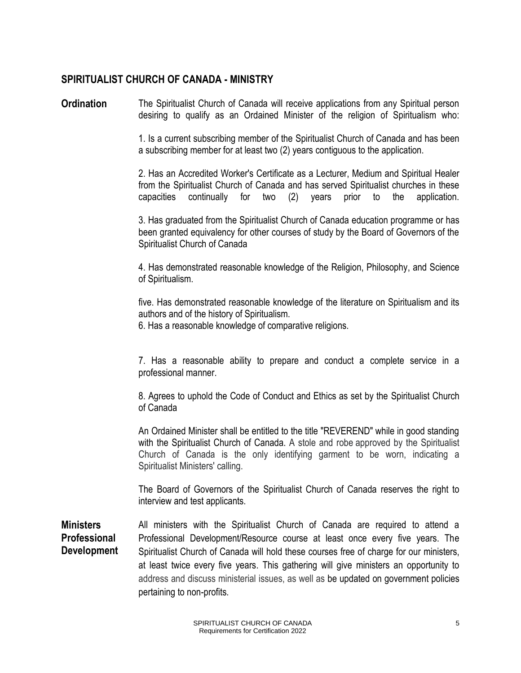### **SPIRITUALIST CHURCH OF CANADA - MINISTRY**

**Ordination** The Spiritualist Church of Canada will receive applications from any Spiritual person desiring to qualify as an Ordained Minister of the religion of Spiritualism who:

> 1. Is a current subscribing member of the Spiritualist Church of Canada and has been a subscribing member for at least two (2) years contiguous to the application.

> 2. Has an Accredited Worker's Certificate as a Lecturer, Medium and Spiritual Healer from the Spiritualist Church of Canada and has served Spiritualist churches in these capacities continually for two (2) years prior to the application.

> 3. Has graduated from the Spiritualist Church of Canada education programme or has been granted equivalency for other courses of study by the Board of Governors of the Spiritualist Church of Canada

> 4. Has demonstrated reasonable knowledge of the Religion, Philosophy, and Science of Spiritualism.

> five. Has demonstrated reasonable knowledge of the literature on Spiritualism and its authors and of the history of Spiritualism.

6. Has a reasonable knowledge of comparative religions.

7. Has a reasonable ability to prepare and conduct a complete service in a professional manner.

8. Agrees to uphold the Code of Conduct and Ethics as set by the Spiritualist Church of Canada

An Ordained Minister shall be entitled to the title "REVEREND" while in good standing with the Spiritualist Church of Canada. A stole and robe approved by the Spiritualist Church of Canada is the only identifying garment to be worn, indicating a Spiritualist Ministers' calling.

The Board of Governors of the Spiritualist Church of Canada reserves the right to interview and test applicants.

**Ministers Professional Development** All ministers with the Spiritualist Church of Canada are required to attend a Professional Development/Resource course at least once every five years. The Spiritualist Church of Canada will hold these courses free of charge for our ministers, at least twice every five years. This gathering will give ministers an opportunity to address and discuss ministerial issues, as well as be updated on government policies pertaining to non-profits.